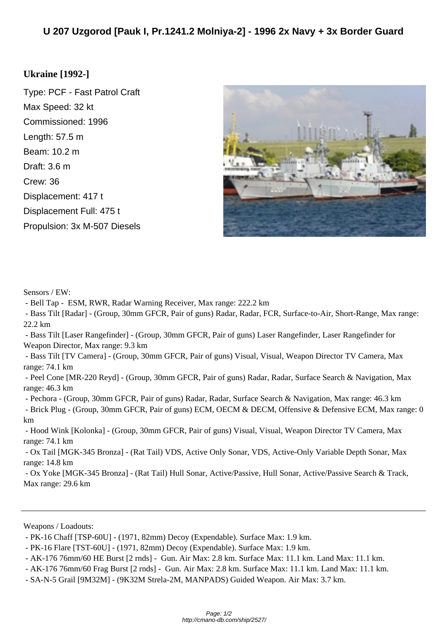## **Ukr[aine \[1992-\]](http://cmano-db.com/ship/2527/)**

Type: PCF - Fast Patrol Craft Max Speed: 32 kt Commissioned: 1996 Length: 57.5 m Beam: 10.2 m Draft: 3.6 m Crew: 36 Displacement: 417 t Displacement Full: 475 t Propulsion: 3x M-507 Diesels



Sensors / EW:

- Bell Tap - ESM, RWR, Radar Warning Receiver, Max range: 222.2 km

 - Bass Tilt [Radar] - (Group, 30mm GFCR, Pair of guns) Radar, Radar, FCR, Surface-to-Air, Short-Range, Max range: 22.2 km

 - Bass Tilt [Laser Rangefinder] - (Group, 30mm GFCR, Pair of guns) Laser Rangefinder, Laser Rangefinder for Weapon Director, Max range: 9.3 km

 - Bass Tilt [TV Camera] - (Group, 30mm GFCR, Pair of guns) Visual, Visual, Weapon Director TV Camera, Max range: 74.1 km

 - Peel Cone [MR-220 Reyd] - (Group, 30mm GFCR, Pair of guns) Radar, Radar, Surface Search & Navigation, Max range: 46.3 km

 - Pechora - (Group, 30mm GFCR, Pair of guns) Radar, Radar, Surface Search & Navigation, Max range: 46.3 km - Brick Plug - (Group, 30mm GFCR, Pair of guns) ECM, OECM & DECM, Offensive & Defensive ECM, Max range: 0 km

 - Hood Wink [Kolonka] - (Group, 30mm GFCR, Pair of guns) Visual, Visual, Weapon Director TV Camera, Max range: 74.1 km

 - Ox Tail [MGK-345 Bronza] - (Rat Tail) VDS, Active Only Sonar, VDS, Active-Only Variable Depth Sonar, Max range: 14.8 km

 - Ox Yoke [MGK-345 Bronza] - (Rat Tail) Hull Sonar, Active/Passive, Hull Sonar, Active/Passive Search & Track, Max range: 29.6 km

Weapons / Loadouts:

 <sup>-</sup> PK-16 Chaff [TSP-60U] - (1971, 82mm) Decoy (Expendable). Surface Max: 1.9 km.

 <sup>-</sup> PK-16 Flare [TST-60U] - (1971, 82mm) Decoy (Expendable). Surface Max: 1.9 km.

 <sup>-</sup> AK-176 76mm/60 HE Burst [2 rnds] - Gun. Air Max: 2.8 km. Surface Max: 11.1 km. Land Max: 11.1 km.

 <sup>-</sup> AK-176 76mm/60 Frag Burst [2 rnds] - Gun. Air Max: 2.8 km. Surface Max: 11.1 km. Land Max: 11.1 km.

 <sup>-</sup> SA-N-5 Grail [9M32M] - (9K32M Strela-2M, MANPADS) Guided Weapon. Air Max: 3.7 km.